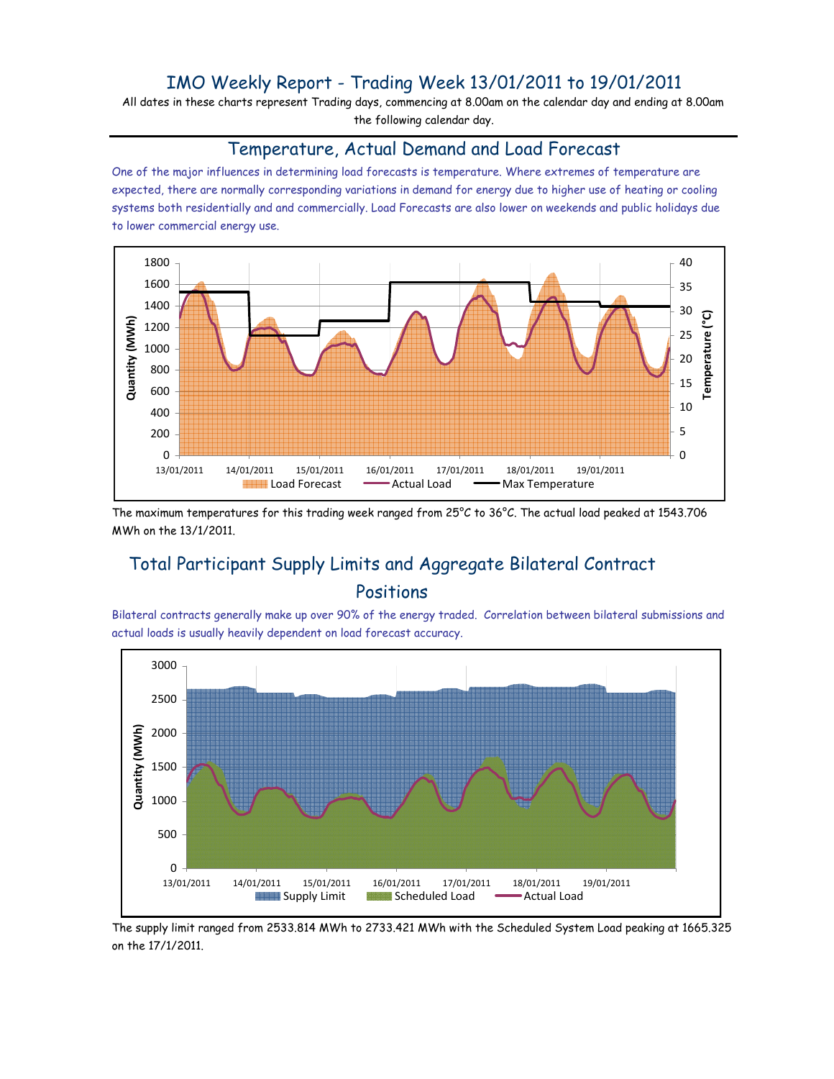## IMO Weekly Report - Trading Week 13/01/2011 to 19/01/2011

All dates in these charts represent Trading days, commencing at 8.00am on the calendar day and ending at 8.00am the following calendar day.

#### Temperature, Actual Demand and Load Forecast

One of the major influences in determining load forecasts is temperature. Where extremes of temperature are expected, there are normally corresponding variations in demand for energy due to higher use of heating or cooling systems both residentially and and commercially. Load Forecasts are also lower on weekends and public holidays due to lower commercial energy use.



The maximum temperatures for this trading week ranged from 25°C to 36°C. The actual load peaked at 1543.706 MWh on the 13/1/2011.

# Total Participant Supply Limits and Aggregate Bilateral Contract Positions

Bilateral contracts generally make up over 90% of the energy traded. Correlation between bilateral submissions and actual loads is usually heavily dependent on load forecast accuracy.



The supply limit ranged from 2533.814 MWh to 2733.421 MWh with the Scheduled System Load peaking at 1665.325 on the 17/1/2011.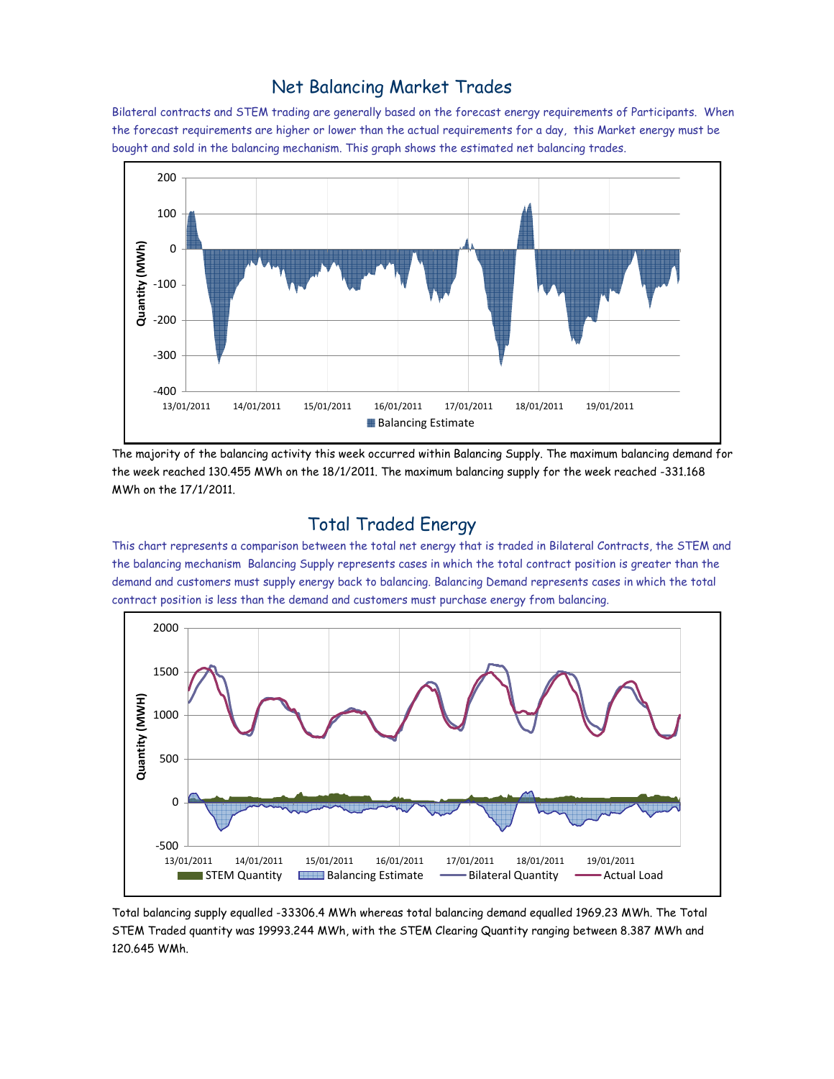### Net Balancing Market Trades

Bilateral contracts and STEM trading are generally based on the forecast energy requirements of Participants. When the forecast requirements are higher or lower than the actual requirements for a day, this Market energy must be bought and sold in the balancing mechanism. This graph shows the estimated net balancing trades.



The majority of the balancing activity this week occurred within Balancing Supply. The maximum balancing demand for the week reached 130.455 MWh on the 18/1/2011. The maximum balancing supply for the week reached -331.168 MWh on the 17/1/2011.

### Total Traded Energy

This chart represents a comparison between the total net energy that is traded in Bilateral Contracts, the STEM and the balancing mechanism Balancing Supply represents cases in which the total contract position is greater than the demand and customers must supply energy back to balancing. Balancing Demand represents cases in which the total contract position is less than the demand and customers must purchase energy from balancing.



Total balancing supply equalled -33306.4 MWh whereas total balancing demand equalled 1969.23 MWh. The Total STEM Traded quantity was 19993.244 MWh, with the STEM Clearing Quantity ranging between 8.387 MWh and 120.645 WMh.